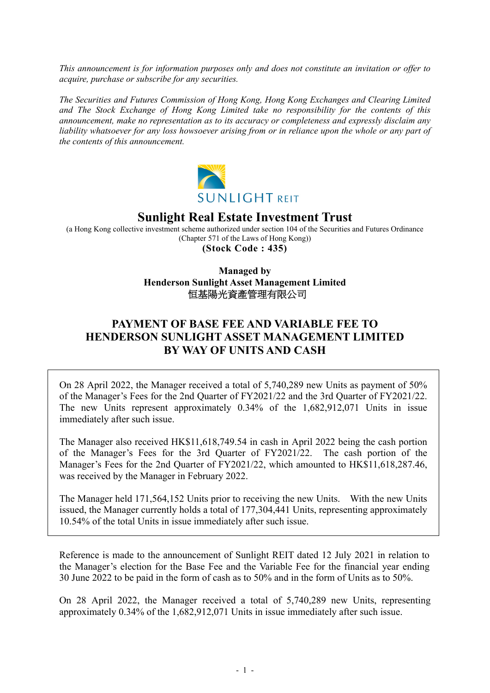*This announcement is for information purposes only and does not constitute an invitation or offer to acquire, purchase or subscribe for any securities.* 

*The Securities and Futures Commission of Hong Kong, Hong Kong Exchanges and Clearing Limited and The Stock Exchange of Hong Kong Limited take no responsibility for the contents of this announcement, make no representation as to its accuracy or completeness and expressly disclaim any*  liability whatsoever for any loss howsoever arising from or in reliance upon the whole or any part of *the contents of this announcement.* 



## **Sunlight Real Estate Investment Trust**

(a Hong Kong collective investment scheme authorized under section 104 of the Securities and Futures Ordinance (Chapter 571 of the Laws of Hong Kong)) **(Stock Code : 435)** 

> **Managed by Henderson Sunlight Asset Management Limited**  恒基陽光資產管理有限公司

## **PAYMENT OF BASE FEE AND VARIABLE FEE TO HENDERSON SUNLIGHT ASSET MANAGEMENT LIMITED BY WAY OF UNITS AND CASH**

On 28 April 2022, the Manager received a total of 5,740,289 new Units as payment of 50% of the Manager's Fees for the 2nd Quarter of FY2021/22 and the 3rd Quarter of FY2021/22. The new Units represent approximately 0.34% of the 1,682,912,071 Units in issue immediately after such issue.

The Manager also received HK\$11,618,749.54 in cash in April 2022 being the cash portion of the Manager's Fees for the 3rd Quarter of FY2021/22. The cash portion of the Manager's Fees for the 2nd Quarter of FY2021/22, which amounted to HK\$11,618,287.46, was received by the Manager in February 2022.

The Manager held 171,564,152 Units prior to receiving the new Units. With the new Units issued, the Manager currently holds a total of 177,304,441 Units, representing approximately 10.54% of the total Units in issue immediately after such issue.

Reference is made to the announcement of Sunlight REIT dated 12 July 2021 in relation to the Manager's election for the Base Fee and the Variable Fee for the financial year ending 30 June 2022 to be paid in the form of cash as to 50% and in the form of Units as to 50%.

On 28 April 2022, the Manager received a total of 5,740,289 new Units, representing approximately 0.34% of the 1,682,912,071 Units in issue immediately after such issue.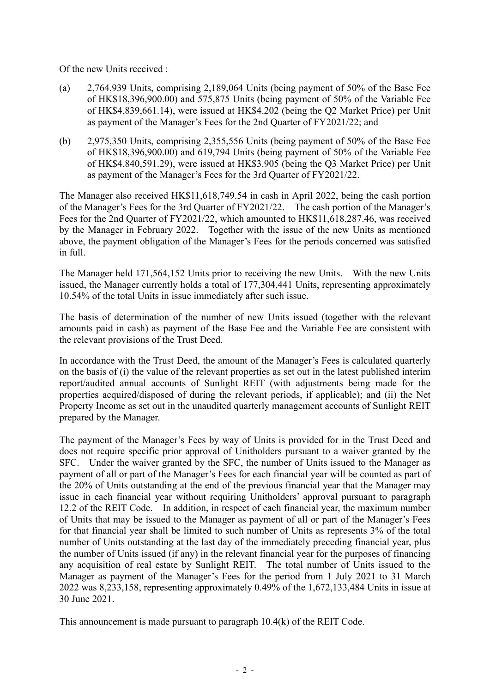Of the new Units received :

- (a) 2,764,939 Units, comprising 2,189,064 Units (being payment of 50% of the Base Fee of HK\$18,396,900.00) and 575,875 Units (being payment of 50% of the Variable Fee of HK\$4,839,661.14), were issued at HK\$4.202 (being the Q2 Market Price) per Unit as payment of the Manager's Fees for the 2nd Quarter of FY2021/22; and
- (b) 2,975,350 Units, comprising 2,355,556 Units (being payment of 50% of the Base Fee of HK\$18,396,900.00) and 619,794 Units (being payment of 50% of the Variable Fee of HK\$4,840,591.29), were issued at HK\$3.905 (being the Q3 Market Price) per Unit as payment of the Manager's Fees for the 3rd Quarter of FY2021/22.

The Manager also received HK\$11,618,749.54 in cash in April 2022, being the cash portion of the Manager's Fees for the 3rd Quarter of FY2021/22. The cash portion of the Manager's Fees for the 2nd Quarter of FY2021/22, which amounted to HK\$11,618,287.46, was received by the Manager in February 2022. Together with the issue of the new Units as mentioned above, the payment obligation of the Manager's Fees for the periods concerned was satisfied in full.

The Manager held 171,564,152 Units prior to receiving the new Units. With the new Units issued, the Manager currently holds a total of 177,304,441 Units, representing approximately 10.54% of the total Units in issue immediately after such issue.

The basis of determination of the number of new Units issued (together with the relevant amounts paid in cash) as payment of the Base Fee and the Variable Fee are consistent with the relevant provisions of the Trust Deed.

In accordance with the Trust Deed, the amount of the Manager's Fees is calculated quarterly on the basis of (i) the value of the relevant properties as set out in the latest published interim report/audited annual accounts of Sunlight REIT (with adjustments being made for the properties acquired/disposed of during the relevant periods, if applicable); and (ii) the Net Property Income as set out in the unaudited quarterly management accounts of Sunlight REIT prepared by the Manager.

The payment of the Manager's Fees by way of Units is provided for in the Trust Deed and does not require specific prior approval of Unitholders pursuant to a waiver granted by the SFC. Under the waiver granted by the SFC, the number of Units issued to the Manager as payment of all or part of the Manager's Fees for each financial year will be counted as part of the 20% of Units outstanding at the end of the previous financial year that the Manager may issue in each financial year without requiring Unitholders' approval pursuant to paragraph 12.2 of the REIT Code. In addition, in respect of each financial year, the maximum number of Units that may be issued to the Manager as payment of all or part of the Manager's Fees for that financial year shall be limited to such number of Units as represents 3% of the total number of Units outstanding at the last day of the immediately preceding financial year, plus the number of Units issued (if any) in the relevant financial year for the purposes of financing any acquisition of real estate by Sunlight REIT. The total number of Units issued to the Manager as payment of the Manager's Fees for the period from 1 July 2021 to 31 March 2022 was 8,233,158, representing approximately 0.49% of the 1,672,133,484 Units in issue at 30 June 2021.

This announcement is made pursuant to paragraph 10.4(k) of the REIT Code.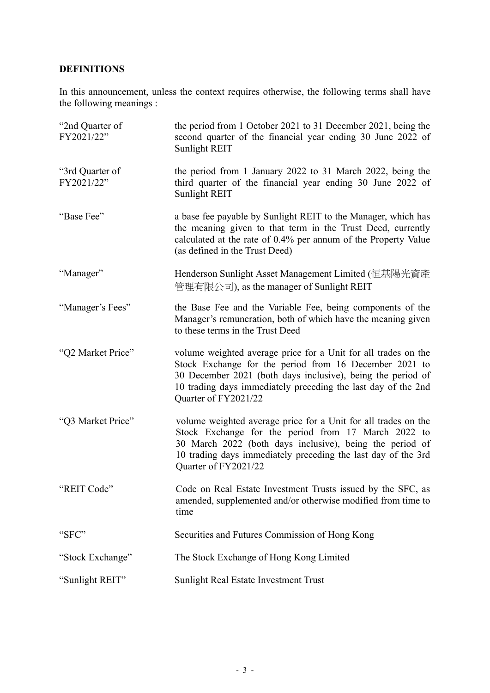## **DEFINITIONS**

In this announcement, unless the context requires otherwise, the following terms shall have the following meanings :

| "2nd Quarter of<br>FY2021/22" | the period from 1 October 2021 to 31 December 2021, being the<br>second quarter of the financial year ending 30 June 2022 of<br>Sunlight REIT                                                                                                                                    |
|-------------------------------|----------------------------------------------------------------------------------------------------------------------------------------------------------------------------------------------------------------------------------------------------------------------------------|
| "3rd Quarter of<br>FY2021/22" | the period from 1 January 2022 to 31 March 2022, being the<br>third quarter of the financial year ending 30 June 2022 of<br>Sunlight REIT                                                                                                                                        |
| "Base Fee"                    | a base fee payable by Sunlight REIT to the Manager, which has<br>the meaning given to that term in the Trust Deed, currently<br>calculated at the rate of 0.4% per annum of the Property Value<br>(as defined in the Trust Deed)                                                 |
| "Manager"                     | Henderson Sunlight Asset Management Limited (恒基陽光資產<br>管理有限公司), as the manager of Sunlight REIT                                                                                                                                                                                  |
| "Manager's Fees"              | the Base Fee and the Variable Fee, being components of the<br>Manager's remuneration, both of which have the meaning given<br>to these terms in the Trust Deed                                                                                                                   |
| "Q2 Market Price"             | volume weighted average price for a Unit for all trades on the<br>Stock Exchange for the period from 16 December 2021 to<br>30 December 2021 (both days inclusive), being the period of<br>10 trading days immediately preceding the last day of the 2nd<br>Quarter of FY2021/22 |
| "Q3 Market Price"             | volume weighted average price for a Unit for all trades on the<br>Stock Exchange for the period from 17 March 2022 to<br>30 March 2022 (both days inclusive), being the period of<br>10 trading days immediately preceding the last day of the 3rd<br>Quarter of FY2021/22       |
| "REIT Code"                   | Code on Real Estate Investment Trusts issued by the SFC, as<br>amended, supplemented and/or otherwise modified from time to<br>time                                                                                                                                              |
| "SFC"                         | Securities and Futures Commission of Hong Kong                                                                                                                                                                                                                                   |
| "Stock Exchange"              | The Stock Exchange of Hong Kong Limited                                                                                                                                                                                                                                          |
| "Sunlight REIT"               | Sunlight Real Estate Investment Trust                                                                                                                                                                                                                                            |